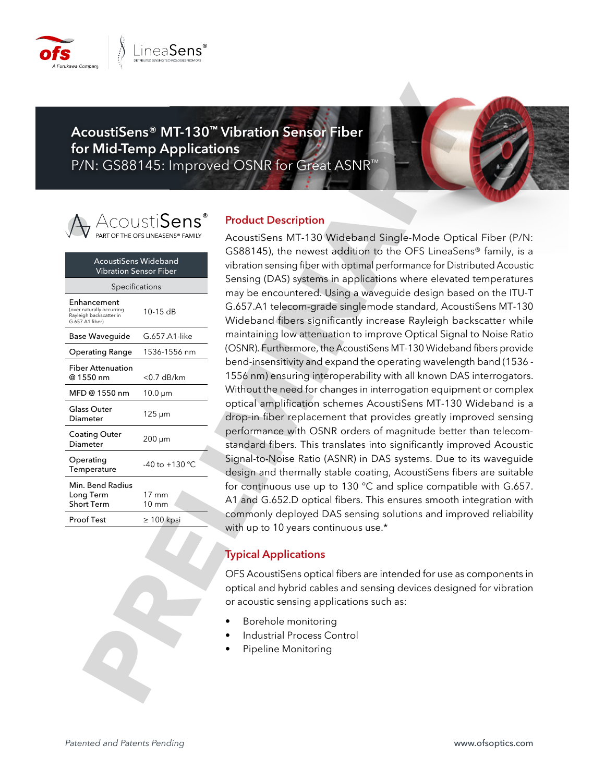

**AcoustiSens® MT-130™ Vibration Sensor Fiber for Mid-Temp Applications** P/N: GS88145: Improved OSNR for Great ASNR™



| <b>AcoustiSens Wideband</b><br>Vibration Sensor Fiber                                  |                          |  |  |
|----------------------------------------------------------------------------------------|--------------------------|--|--|
| Specifications                                                                         |                          |  |  |
| Enhancement<br>(over naturally occurring<br>Rayleigh backscatter in<br>G.657.A1 fiber) | $10-15$ dB               |  |  |
| Base Waveguide                                                                         | G.657.A1-like            |  |  |
| Operating Range                                                                        | 1536-1556 nm             |  |  |
| <b>Fiber Attenuation</b><br>@ 1550 nm                                                  | $<$ 0.7 dB/km            |  |  |
| MFD@1550 nm                                                                            | $10.0 \mu m$             |  |  |
| Glass Outer<br>Diameter                                                                | 125 µm                   |  |  |
| Coating Outer<br>Diameter                                                              | 200 µm                   |  |  |
| Operating<br>Temperature                                                               | $-40$ to $+130$ °C       |  |  |
| Min. Bend Radius<br>Long Term<br><b>Short Term</b>                                     | 17 mm<br>$10 \text{ mm}$ |  |  |
| Proof Test                                                                             | $\geq 100$ kpsi          |  |  |
|                                                                                        |                          |  |  |

## **Product Description**

AcoustiSens MT-130 Wideband Single-Mode Optical Fiber (P/N: GS88145), the newest addition to the OFS LineaSens® family, is a vibration sensing fiber with optimal performance for Distributed Acoustic Sensing (DAS) systems in applications where elevated temperatures may be encountered. Using a waveguide design based on the ITU-T G.657.A1 telecom-grade singlemode standard, AcoustiSens MT-130 Wideband fibers significantly increase Rayleigh backscatter while maintaining low attenuation to improve Optical Signal to Noise Ratio (OSNR). Furthermore, the AcoustiSens MT-130 Wideband fibers provide bend-insensitivity and expand the operating wavelength band (1536 - 1556 nm) ensuring interoperability with all known DAS interrogators. Without the need for changes in interrogation equipment or complex optical amplification schemes AcoustiSens MT-130 Wideband is a drop-in fiber replacement that provides greatly improved sensing performance with OSNR orders of magnitude better than telecomstandard fibers. This translates into significantly improved Acoustic Signal-to-Noise Ratio (ASNR) in DAS systems. Due to its waveguide design and thermally stable coating, AcoustiSens fibers are suitable for continuous use up to 130 °C and splice compatible with G.657. A1 and G.652.D optical fibers. This ensures smooth integration with commonly deployed DAS sensing solutions and improved reliability with up to 10 years continuous use.\* **EXAMPLE SOLUTION SCOTTING AND SCOTTING CONFIDENTIAL CONFIDENCIAL CONFIDENCIAL CONFIDENCIAL CONFIDENCIAL CONFIDENCIAL CONFIDENCIAL CONFIDENCIAL CONFIDENCIAL CONFIDENCIAL CONFIDENCIAL CONFIDENCIAL CONFIDENCIAL CONFIDENCIAL** 

## **Typical Applications**

OFS AcoustiSens optical fibers are intended for use as components in optical and hybrid cables and sensing devices designed for vibration or acoustic sensing applications such as:

- Borehole monitoring
- Industrial Process Control
- Pipeline Monitoring